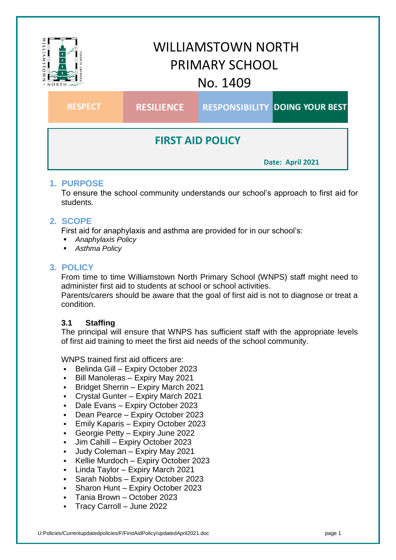

## **1. PURPOSE**

To ensure the school community understands our school's approach to first aid for students.

## **2. SCOPE**

First aid for anaphylaxis and asthma are provided for in our school's:

- *Anaphylaxis Policy*
- *Asthma Policy*

## **3. POLICY**

From time to time Williamstown North Primary School (WNPS) staff might need to administer first aid to students at school or school activities.

Parents/carers should be aware that the goal of first aid is not to diagnose or treat a condition.

#### **3.1 Staffing**

The principal will ensure that WNPS has sufficient staff with the appropriate levels of first aid training to meet the first aid needs of the school community.

WNPS trained first aid officers are:

- Belinda Gill Expiry October 2023
- Bill Manoleras Expiry May 2021
- **Bridget Sherrin Expiry March 2021**
- Crystal Gunter Expiry March 2021
- Dale Evans Expiry October 2023
- Dean Pearce Expiry October 2023
- Emily Kaparis Expiry October 2023
- Georgie Petty Expiry June 2022
- Jim Cahill Expiry October 2023
- Judy Coleman Expiry May 2021
- Kellie Murdoch Expiry October 2023
- Linda Taylor Expiry March 2021
- Sarah Nobbs Expiry October 2023
- Sharon Hunt Expiry October 2023
- Tania Brown October 2023
- Tracy Carroll June 2022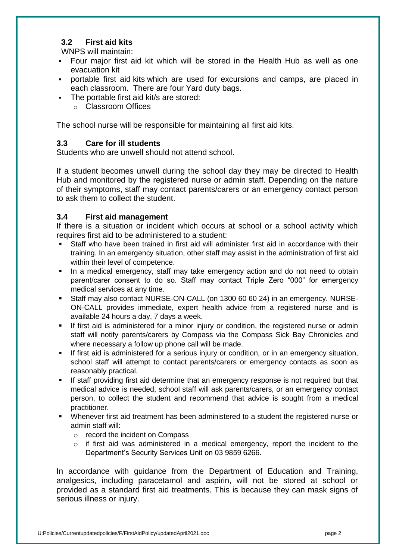## **3.2 First aid kits**

WNPS will maintain:

- Four major first aid kit which will be stored in the Health Hub as well as one evacuation kit
- portable first aid kits which are used for excursions and camps, are placed in each classroom. There are four Yard duty bags.
- The portable first aid kit/s are stored:
	- o Classroom Offices

The school nurse will be responsible for maintaining all first aid kits.

### **3.3 Care for ill students**

Students who are unwell should not attend school.

If a student becomes unwell during the school day they may be directed to Health Hub and monitored by the registered nurse or admin staff. Depending on the nature of their symptoms, staff may contact parents/carers or an emergency contact person to ask them to collect the student.

#### **3.4 First aid management**

If there is a situation or incident which occurs at school or a school activity which requires first aid to be administered to a student:

- Staff who have been trained in first aid will administer first aid in accordance with their training. In an emergency situation, other staff may assist in the administration of first aid within their level of competence.
- In a medical emergency, staff may take emergency action and do not need to obtain parent/carer consent to do so. Staff may contact Triple Zero "000" for emergency medical services at any time.
- Staff may also contact NURSE-ON-CALL (on 1300 60 60 24) in an emergency. NURSE-ON-CALL provides immediate, expert health advice from a registered nurse and is available 24 hours a day, 7 days a week.
- If first aid is administered for a minor injury or condition, the registered nurse or admin staff will notify parents/carers by Compass via the Compass Sick Bay Chronicles and where necessary a follow up phone call will be made.
- If first aid is administered for a serious injury or condition, or in an emergency situation, school staff will attempt to contact parents/carers or emergency contacts as soon as reasonably practical.
- If staff providing first aid determine that an emergency response is not required but that medical advice is needed, school staff will ask parents/carers, or an emergency contact person, to collect the student and recommend that advice is sought from a medical practitioner.
- Whenever first aid treatment has been administered to a student the registered nurse or admin staff will:
	- o record the incident on Compass
	- $\circ$  if first aid was administered in a medical emergency, report the incident to the Department's Security Services Unit on 03 9859 6266.

In accordance with guidance from the Department of Education and Training, analgesics, including paracetamol and aspirin, will not be stored at school or provided as a standard first aid treatments. This is because they can mask signs of serious illness or injury.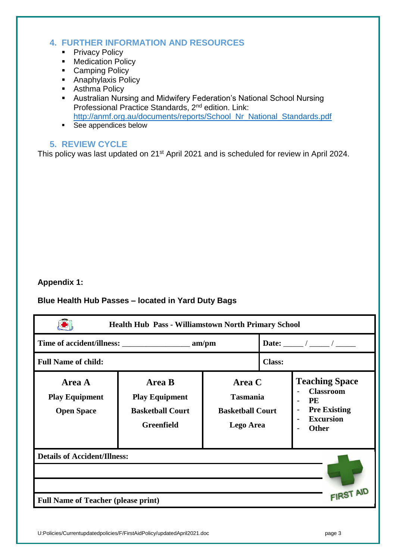## **4. FURTHER INFORMATION AND RESOURCES**

- **Privacy Policy**
- **Medication Policy**
- **-** Camping Policy
- **Anaphylaxis Policy**
- **Asthma Policy**
- Australian Nursing and Midwifery Federation's National School Nursing Professional Practice Standards, 2<sup>nd</sup> edition. Link: [http://anmf.org.au/documents/reports/School\\_Nr\\_National\\_Standards.pdf](http://anmf.org.au/documents/reports/School_Nr_National_Standards.pdf)
- **See appendices below**

## **5. REVIEW CYCLE**

This policy was last updated on 21<sup>st</sup> April 2021 and is scheduled for review in April 2024.

## **Appendix 1:**

#### **Blue Health Hub Passes – located in Yard Duty Bags**

| Health Hub Pass - Williamstown North Primary School                                                   |                                                                                        |                                                                   |               |                                                                                                                   |
|-------------------------------------------------------------------------------------------------------|----------------------------------------------------------------------------------------|-------------------------------------------------------------------|---------------|-------------------------------------------------------------------------------------------------------------------|
|                                                                                                       |                                                                                        |                                                                   |               |                                                                                                                   |
| <b>Full Name of child:</b>                                                                            |                                                                                        |                                                                   | <b>Class:</b> |                                                                                                                   |
| Area A<br><b>Play Equipment</b><br><b>Open Space</b>                                                  | <b>Area B</b><br><b>Play Equipment</b><br><b>Basketball Court</b><br><b>Greenfield</b> | Area C<br><b>Tasmania</b><br><b>Basketball Court</b><br>Lego Area |               | <b>Teaching Space</b><br><b>Classroom</b><br><b>PE</b><br><b>Pre Existing</b><br><b>Excursion</b><br><b>Other</b> |
| <b>Details of Accident/Illness:</b><br><b>FIRST AID</b><br><b>Full Name of Teacher (please print)</b> |                                                                                        |                                                                   |               |                                                                                                                   |

U:Policies/Currentupdatedpolicies/F/FirstAidPolicy/updatedApril2021.doc page 3